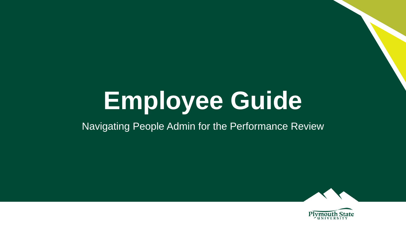# **Employee Guide**

### Navigating People Admin for the Performance Review



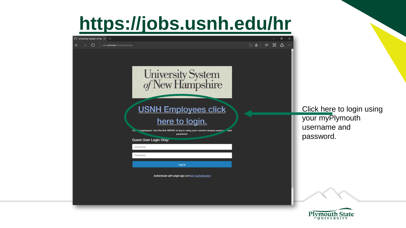# **<https://jobs.usnh.edu/hr>**



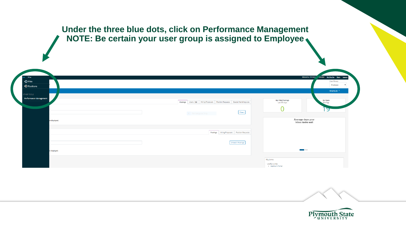#### **Under the three blue dots, click on Performance Management NOTE: Be certain your user group is assigned to Employee**

| *** Hire<br>$\bigodot$ Hire<br><b><i>O</i></b> Positions |                                                                              | Welcome, Christin vander My Profile Help logout<br>User Group:<br>Employee                 |
|----------------------------------------------------------|------------------------------------------------------------------------------|--------------------------------------------------------------------------------------------|
| OTHER TOOLS<br>Performance Management                    | Postings Users 180 Hiring Proposals Position Requests Special Handling Lists | Shortcuts <sup>*</sup><br><b>My Filled Postings</b><br>My Open<br>Last 30 days<br>Postings |
|                                                          | Filters<br>$\bullet$ Rectangular Snip                                        | פ                                                                                          |
| pe displayed.                                            | Postings Hiring Proposals Position Requests                                  | Average days your<br>inbox tasks wait                                                      |
|                                                          | <b>Unwatch Postings</b>                                                      |                                                                                            |
| e displayed.                                             |                                                                              | <b>User</b><br>My Links<br>Useful Links<br>· Applicant Portal                              |



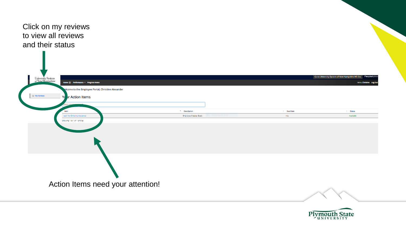



**Hello**. Christine

Log (

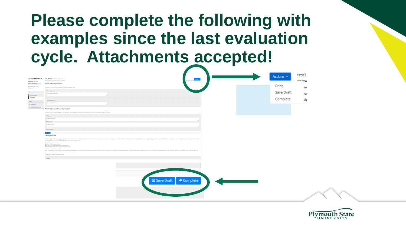## **Please complete the following with examples since the last evaluation cycle. Attachments accepted!**

|                                                      |                                                                                                                                                                                                                                                                                                                        |            | test1         |  |
|------------------------------------------------------|------------------------------------------------------------------------------------------------------------------------------------------------------------------------------------------------------------------------------------------------------------------------------------------------------------------------|------------|---------------|--|
|                                                      | Christine Alexander Self Review for Christine Alexander<br>ctions -                                                                                                                                                                                                                                                    | Actions *  |               |  |
| Supervisor: Caryn Ines                               | Required fields are indicated with an asterisk (*).                                                                                                                                                                                                                                                                    |            | <b>Doview</b> |  |
| Position Description: Associate                      | <b>Past Year Accomplishments</b>                                                                                                                                                                                                                                                                                       |            |               |  |
| Director of Human Resources<br>Department: PSU Human | Please List and Describe 2 accomplishments since last evaluation cycle.                                                                                                                                                                                                                                                | Print      |               |  |
| Resources                                            |                                                                                                                                                                                                                                                                                                                        |            | ≳w            |  |
| Overview                                             | * Accomplishment 1                                                                                                                                                                                                                                                                                                     | Save Draft |               |  |
| Supervisor Review                                    | accomplishment one                                                                                                                                                                                                                                                                                                     |            | rar           |  |
| Self Review                                          |                                                                                                                                                                                                                                                                                                                        |            |               |  |
|                                                      | * Accomplishment 2                                                                                                                                                                                                                                                                                                     | Complete   | Up            |  |
| History                                              | accomplishment two                                                                                                                                                                                                                                                                                                     |            |               |  |
| - My Reviews                                         |                                                                                                                                                                                                                                                                                                                        |            |               |  |
| <sup>2</sup> My Employees' Reviews                   | Past Year Opportunities for Improvement                                                                                                                                                                                                                                                                                |            |               |  |
|                                                      | Please List and Describe 2 challenges from the past year. Please be specific, include detail and elaborate as to why these challenges are significant to you.                                                                                                                                                          |            |               |  |
|                                                      |                                                                                                                                                                                                                                                                                                                        |            |               |  |
|                                                      | * Opportunity 1                                                                                                                                                                                                                                                                                                        |            |               |  |
|                                                      | opportunity one                                                                                                                                                                                                                                                                                                        |            |               |  |
|                                                      | * Opportunity 2                                                                                                                                                                                                                                                                                                        |            |               |  |
|                                                      | opportunity 2                                                                                                                                                                                                                                                                                                          |            |               |  |
|                                                      | Remove Entry?                                                                                                                                                                                                                                                                                                          |            |               |  |
|                                                      |                                                                                                                                                                                                                                                                                                                        |            |               |  |
|                                                      | Add Entry                                                                                                                                                                                                                                                                                                              |            |               |  |
|                                                      | <b>Coming Year Goals</b>                                                                                                                                                                                                                                                                                               |            |               |  |
|                                                      | Create your goals for the upcoming year with a focus on collaboration within the institution, recruitment and enrolment, retention and persistence, and/or equipping students to enter the marketplace. Provide at least 2 goa<br>Please take some time to think about your goals and do not leave this section blank. |            |               |  |
|                                                      | Specific: What, why, and how?                                                                                                                                                                                                                                                                                          |            |               |  |
|                                                      | Measurable: How will you measure?<br>Attainable: is it possible in your current circumstances?                                                                                                                                                                                                                         |            |               |  |
|                                                      | Relevant: is this appropriate to move the university forward?<br>Time-bound: Schedule and/or deadline?                                                                                                                                                                                                                 |            |               |  |
|                                                      | Think about the future direction of your career including future skill attainment. Career aspirations might include taking on a new role within the department or elsewhere; increased responsibilities; enrolling in classes;<br>supervisor so they will be aware and have the opportunity to support you.            |            |               |  |
|                                                      | Cick Add Entry below to add additional goals.                                                                                                                                                                                                                                                                          |            |               |  |
|                                                      | * Goals                                                                                                                                                                                                                                                                                                                |            |               |  |
|                                                      |                                                                                                                                                                                                                                                                                                                        |            |               |  |
|                                                      |                                                                                                                                                                                                                                                                                                                        |            |               |  |
|                                                      |                                                                                                                                                                                                                                                                                                                        |            |               |  |
|                                                      |                                                                                                                                                                                                                                                                                                                        |            |               |  |
|                                                      |                                                                                                                                                                                                                                                                                                                        |            |               |  |
|                                                      |                                                                                                                                                                                                                                                                                                                        |            |               |  |
|                                                      | ■ Save Draft → Complete                                                                                                                                                                                                                                                                                                |            |               |  |
|                                                      |                                                                                                                                                                                                                                                                                                                        |            |               |  |
|                                                      |                                                                                                                                                                                                                                                                                                                        |            |               |  |
|                                                      |                                                                                                                                                                                                                                                                                                                        |            |               |  |
|                                                      |                                                                                                                                                                                                                                                                                                                        |            |               |  |
|                                                      |                                                                                                                                                                                                                                                                                                                        |            |               |  |
|                                                      |                                                                                                                                                                                                                                                                                                                        |            |               |  |
|                                                      |                                                                                                                                                                                                                                                                                                                        |            |               |  |
|                                                      |                                                                                                                                                                                                                                                                                                                        |            |               |  |

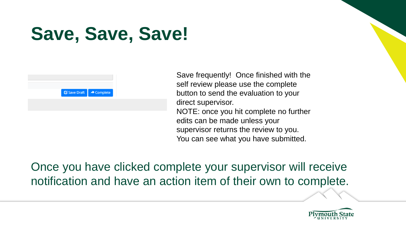# **Save, Save, Save!**



Save frequently! Once finished with the self review please use the complete button to send the evaluation to your direct supervisor. NOTE: once you hit complete no further edits can be made unless your supervisor returns the review to you. You can see what you have submitted.

Once you have clicked complete your supervisor will receive notification and have an action item of their own to complete.

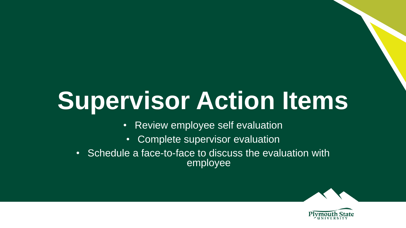# **Supervisor Action Items**

- Review employee self evaluation
- Complete supervisor evaluation
- Schedule a face-to-face to discuss the evaluation with employee



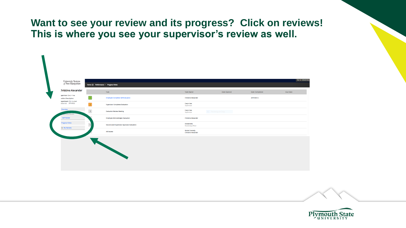### **Want to see your review and its progress? Click on reviews! This is where you see your supervisor's review as well.**

| upervisor: Caryn Ines                                                       |                                | Task                                                                                | <b>Task Owner</b>                                    | Date Opened        | Date Completed | Due Date |
|-----------------------------------------------------------------------------|--------------------------------|-------------------------------------------------------------------------------------|------------------------------------------------------|--------------------|----------------|----------|
| 'osition Description:<br><b>Jepartment: PSU Human</b><br>lesources [PFHR0X] | $\vert 1 \vert$<br>$\boxed{2}$ | <b>Employee Completes Self-Evaluation</b><br><b>Supervisor Completes Evaluation</b> | <b>Christine Alexander</b><br>Caryn Ines             |                    | 2019-04-12     |          |
| Overview                                                                    | $\vert$ 3                      | <b>Evaluation Review Meeting</b>                                                    | Supervisor<br>Caryn Ines<br>Supervisor               | · Rectangular Snip |                |          |
| <b>PPErvisor Review</b><br><b>Self Review</b>                               |                                | <b>Employee Acknowledges Evaluation</b>                                             | <b>Christine Alexander</b>                           |                    |                |          |
| <b>Progress Notes</b><br>$\equiv$ My Reviews                                | $\sqrt{2}$                     | Second Level Supervisor Approves Evaluation                                         | <b>Donald Birx</b><br><b>Reviewing Officer</b>       |                    |                |          |
|                                                                             |                                | <b>HR Review</b>                                                                    | <b>Nicole Connolly</b><br><b>Christine Alexander</b> |                    |                |          |
|                                                                             |                                |                                                                                     |                                                      |                    |                |          |
|                                                                             |                                |                                                                                     |                                                      |                    |                |          |
|                                                                             |                                |                                                                                     |                                                      |                    |                |          |
|                                                                             |                                |                                                                                     |                                                      |                    |                |          |
|                                                                             |                                |                                                                                     |                                                      |                    |                |          |
|                                                                             |                                |                                                                                     |                                                      |                    |                |          |

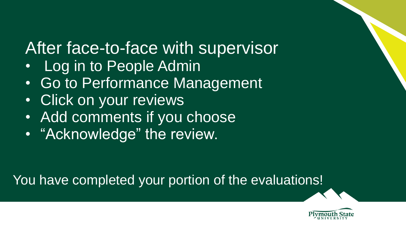# After face-to-face with supervisor

- Log in to People Admin
- Go to Performance Management
- Click on your reviews
- Add comments if you choose
- "Acknowledge" the review.

### You have completed your portion of the evaluations!